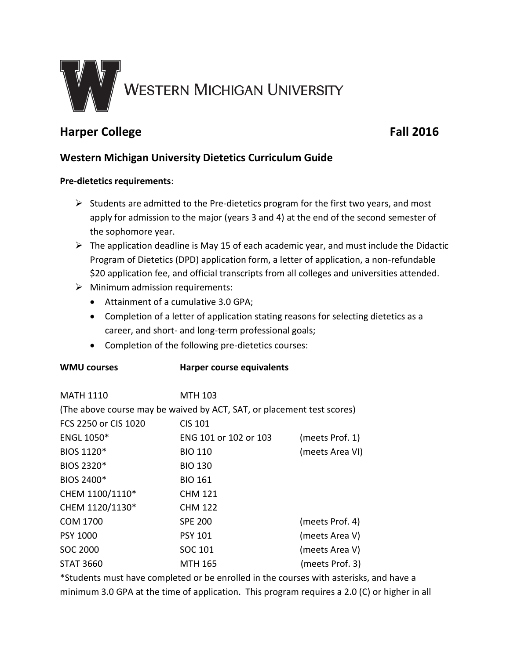

# **Harper College Fall 2016**

# **Western Michigan University Dietetics Curriculum Guide**

#### **Pre-dietetics requirements**:

- $\triangleright$  Students are admitted to the Pre-dietetics program for the first two years, and most apply for admission to the major (years 3 and 4) at the end of the second semester of the sophomore year.
- $\triangleright$  The application deadline is May 15 of each academic year, and must include the Didactic Program of Dietetics (DPD) application form, a letter of application, a non-refundable \$20 application fee, and official transcripts from all colleges and universities attended.
- $\triangleright$  Minimum admission requirements:
	- Attainment of a cumulative 3.0 GPA;

**WMU courses Harper course equivalents**

- Completion of a letter of application stating reasons for selecting dietetics as a career, and short- and long-term professional goals;
- Completion of the following pre-dietetics courses:

| MATH 1110            | <b>MTH 103</b>                                                         |                 |
|----------------------|------------------------------------------------------------------------|-----------------|
|                      | (The above course may be waived by ACT, SAT, or placement test scores) |                 |
| FCS 2250 or CIS 1020 | <b>CIS 101</b>                                                         |                 |
| <b>ENGL 1050*</b>    | ENG 101 or 102 or 103                                                  | (meets Prof. 1) |
| BIOS 1120*           | <b>BIO 110</b>                                                         | (meets Area VI) |
| BIOS 2320*           | <b>BIO 130</b>                                                         |                 |
| BIOS 2400*           | <b>BIO 161</b>                                                         |                 |
| CHEM 1100/1110*      | <b>CHM 121</b>                                                         |                 |
| CHEM 1120/1130*      | <b>CHM 122</b>                                                         |                 |
| <b>COM 1700</b>      | <b>SPE 200</b>                                                         | (meets Prof. 4) |
| PSY 1000             | <b>PSY 101</b>                                                         | (meets Area V)  |
| SOC 2000             | SOC 101                                                                | (meets Area V)  |
| <b>STAT 3660</b>     | MTH 165                                                                | (meets Prof. 3) |

\*Students must have completed or be enrolled in the courses with asterisks, and have a minimum 3.0 GPA at the time of application. This program requires a 2.0 (C) or higher in all